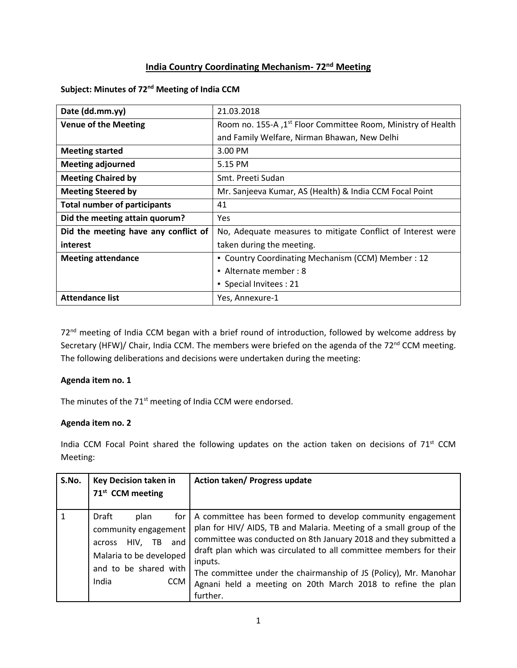# **India Country Coordinating Mechanism- 72nd Meeting**

## **Subject: Minutes of 72 nd Meeting of India CCM**

| Date (dd.mm.yy)                      | 21.03.2018                                                                |
|--------------------------------------|---------------------------------------------------------------------------|
| <b>Venue of the Meeting</b>          | Room no. 155-A , 1 <sup>st</sup> Floor Committee Room, Ministry of Health |
|                                      | and Family Welfare, Nirman Bhawan, New Delhi                              |
| <b>Meeting started</b>               | 3.00 PM                                                                   |
| <b>Meeting adjourned</b>             | 5.15 PM                                                                   |
| <b>Meeting Chaired by</b>            | Smt. Preeti Sudan                                                         |
| <b>Meeting Steered by</b>            | Mr. Sanjeeva Kumar, AS (Health) & India CCM Focal Point                   |
| <b>Total number of participants</b>  | 41                                                                        |
| Did the meeting attain quorum?       | <b>Yes</b>                                                                |
| Did the meeting have any conflict of | No, Adequate measures to mitigate Conflict of Interest were               |
| interest                             | taken during the meeting.                                                 |
| <b>Meeting attendance</b>            | • Country Coordinating Mechanism (CCM) Member: 12                         |
|                                      | • Alternate member: 8                                                     |
|                                      | • Special Invitees: 21                                                    |
| <b>Attendance list</b>               | Yes, Annexure-1                                                           |

72<sup>nd</sup> meeting of India CCM began with a brief round of introduction, followed by welcome address by Secretary (HFW)/ Chair, India CCM. The members were briefed on the agenda of the 72<sup>nd</sup> CCM meeting. The following deliberations and decisions were undertaken during the meeting:

# **Agenda item no. 1**

The minutes of the 71<sup>st</sup> meeting of India CCM were endorsed.

### **Agenda item no. 2**

India CCM Focal Point shared the following updates on the action taken on decisions of 71<sup>st</sup> CCM Meeting:

| S.No. | <b>Key Decision taken in</b><br>71 <sup>st</sup> CCM meeting                                                                                            | Action taken/ Progress update                                                                                                                                                                                                                                                                                                                                                                                                          |
|-------|---------------------------------------------------------------------------------------------------------------------------------------------------------|----------------------------------------------------------------------------------------------------------------------------------------------------------------------------------------------------------------------------------------------------------------------------------------------------------------------------------------------------------------------------------------------------------------------------------------|
|       | Draft<br>plan<br>for<br>community engagement<br>and<br>HIV,<br>TB.<br>across<br>Malaria to be developed<br>and to be shared with<br>India<br><b>CCM</b> | A committee has been formed to develop community engagement<br>plan for HIV/ AIDS, TB and Malaria. Meeting of a small group of the<br>committee was conducted on 8th January 2018 and they submitted a<br>draft plan which was circulated to all committee members for their<br>inputs.<br>The committee under the chairmanship of JS (Policy), Mr. Manohar<br>Agnani held a meeting on 20th March 2018 to refine the plan<br>further. |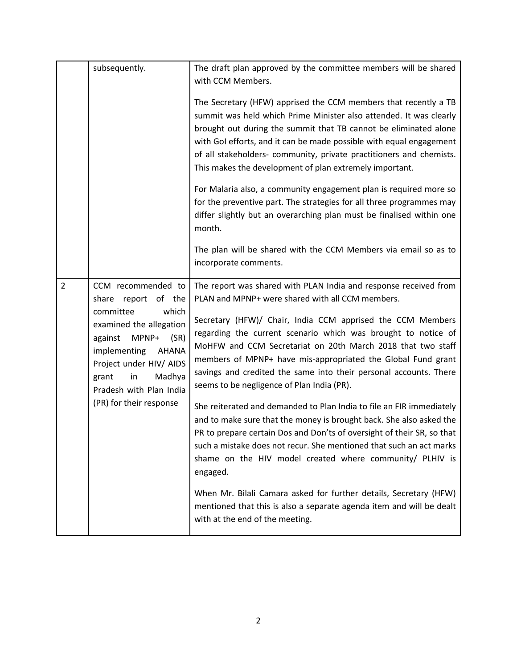|                | subsequently.                                                                                                                                                                                                                                                   | The draft plan approved by the committee members will be shared<br>with CCM Members.<br>The Secretary (HFW) apprised the CCM members that recently a TB<br>summit was held which Prime Minister also attended. It was clearly<br>brought out during the summit that TB cannot be eliminated alone<br>with Gol efforts, and it can be made possible with equal engagement<br>of all stakeholders- community, private practitioners and chemists.<br>This makes the development of plan extremely important.<br>For Malaria also, a community engagement plan is required more so<br>for the preventive part. The strategies for all three programmes may<br>differ slightly but an overarching plan must be finalised within one<br>month.<br>The plan will be shared with the CCM Members via email so as to                                                                                                                                                                                                                                                  |
|----------------|-----------------------------------------------------------------------------------------------------------------------------------------------------------------------------------------------------------------------------------------------------------------|---------------------------------------------------------------------------------------------------------------------------------------------------------------------------------------------------------------------------------------------------------------------------------------------------------------------------------------------------------------------------------------------------------------------------------------------------------------------------------------------------------------------------------------------------------------------------------------------------------------------------------------------------------------------------------------------------------------------------------------------------------------------------------------------------------------------------------------------------------------------------------------------------------------------------------------------------------------------------------------------------------------------------------------------------------------|
|                |                                                                                                                                                                                                                                                                 | incorporate comments.                                                                                                                                                                                                                                                                                                                                                                                                                                                                                                                                                                                                                                                                                                                                                                                                                                                                                                                                                                                                                                         |
| $\overline{2}$ | CCM recommended to<br>report<br>of the<br>share<br>which<br>committee<br>examined the allegation<br>MPNP+<br>(SR)<br>against<br>implementing<br>AHANA<br>Project under HIV/ AIDS<br>Madhya<br>grant<br>in<br>Pradesh with Plan India<br>(PR) for their response | The report was shared with PLAN India and response received from<br>PLAN and MPNP+ were shared with all CCM members.<br>Secretary (HFW)/ Chair, India CCM apprised the CCM Members<br>regarding the current scenario which was brought to notice of<br>MoHFW and CCM Secretariat on 20th March 2018 that two staff<br>members of MPNP+ have mis-appropriated the Global Fund grant<br>savings and credited the same into their personal accounts. There<br>seems to be negligence of Plan India (PR).<br>She reiterated and demanded to Plan India to file an FIR immediately<br>and to make sure that the money is brought back. She also asked the<br>PR to prepare certain Dos and Don'ts of oversight of their SR, so that<br>such a mistake does not recur. She mentioned that such an act marks<br>shame on the HIV model created where community/ PLHIV is<br>engaged.<br>When Mr. Bilali Camara asked for further details, Secretary (HFW)<br>mentioned that this is also a separate agenda item and will be dealt<br>with at the end of the meeting. |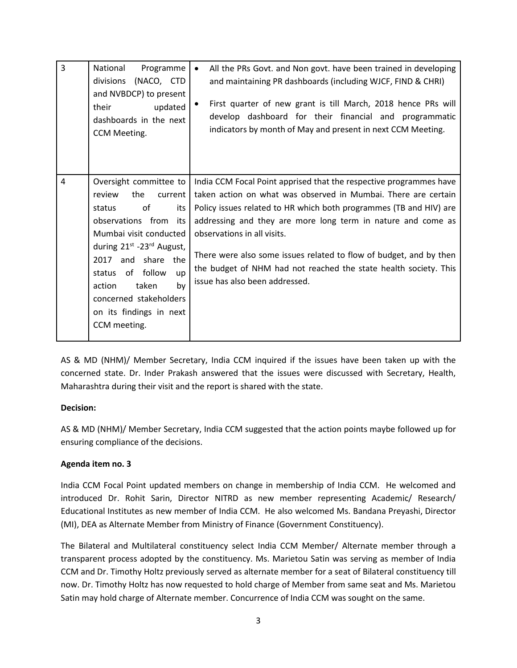| $\overline{3}$ | National<br>Programme<br>(NACO, CTD<br>divisions<br>and NVBDCP) to present<br>their<br>updated<br>dashboards in the next<br>CCM Meeting.                                                                                                                                                                                                         | All the PRs Govt. and Non govt. have been trained in developing<br>$\bullet$<br>and maintaining PR dashboards (including WJCF, FIND & CHRI)<br>First quarter of new grant is till March, 2018 hence PRs will<br>develop dashboard for their financial and programmatic<br>indicators by month of May and present in next CCM Meeting.                                                                                                                                                 |
|----------------|--------------------------------------------------------------------------------------------------------------------------------------------------------------------------------------------------------------------------------------------------------------------------------------------------------------------------------------------------|---------------------------------------------------------------------------------------------------------------------------------------------------------------------------------------------------------------------------------------------------------------------------------------------------------------------------------------------------------------------------------------------------------------------------------------------------------------------------------------|
| $\overline{4}$ | Oversight committee to<br>review<br>the<br>current  <br>of<br>status<br>its<br>observations from<br>its l<br>Mumbai visit conducted<br>during 21 <sup>st</sup> -23 <sup>rd</sup> August,<br>2017 and share the<br>of follow<br>status<br><b>up</b><br>taken<br>by<br>action<br>concerned stakeholders<br>on its findings in next<br>CCM meeting. | India CCM Focal Point apprised that the respective programmes have<br>taken action on what was observed in Mumbai. There are certain<br>Policy issues related to HR which both programmes (TB and HIV) are<br>addressing and they are more long term in nature and come as<br>observations in all visits.<br>There were also some issues related to flow of budget, and by then<br>the budget of NHM had not reached the state health society. This<br>issue has also been addressed. |

AS & MD (NHM)/ Member Secretary, India CCM inquired if the issues have been taken up with the concerned state. Dr. Inder Prakash answered that the issues were discussed with Secretary, Health, Maharashtra during their visit and the report is shared with the state.

# **Decision:**

AS & MD (NHM)/ Member Secretary, India CCM suggested that the action points maybe followed up for ensuring compliance of the decisions.

# **Agenda item no. 3**

India CCM Focal Point updated members on change in membership of India CCM. He welcomed and introduced Dr. Rohit Sarin, Director NITRD as new member representing Academic/ Research/ Educational Institutes as new member of India CCM. He also welcomed Ms. Bandana Preyashi, Director (MI), DEA as Alternate Member from Ministry of Finance (Government Constituency).

The Bilateral and Multilateral constituency select India CCM Member/ Alternate member through a transparent process adopted by the constituency. Ms. Marietou Satin was serving as member of India CCM and Dr. Timothy Holtz previously served as alternate member for a seat of Bilateral constituency till now. Dr. Timothy Holtz has now requested to hold charge of Member from same seat and Ms. Marietou Satin may hold charge of Alternate member. Concurrence of India CCM was sought on the same.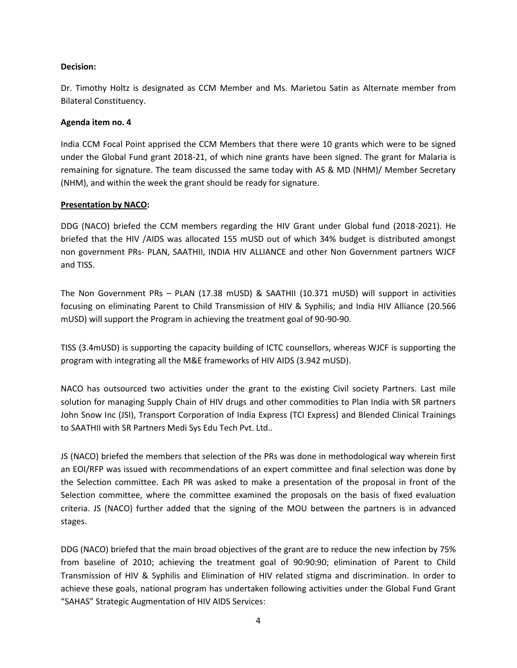## **Decision:**

Dr. Timothy Holtz is designated as CCM Member and Ms. Marietou Satin as Alternate member from Bilateral Constituency.

## **Agenda item no. 4**

India CCM Focal Point apprised the CCM Members that there were 10 grants which were to be signed under the Global Fund grant 2018-21, of which nine grants have been signed. The grant for Malaria is remaining for signature. The team discussed the same today with AS & MD (NHM)/ Member Secretary (NHM), and within the week the grant should be ready for signature.

## **Presentation by NACO:**

DDG (NACO) briefed the CCM members regarding the HIV Grant under Global fund (2018-2021). He briefed that the HIV /AIDS was allocated 155 mUSD out of which 34% budget is distributed amongst non government PRs- PLAN, SAATHII, INDIA HIV ALLIANCE and other Non Government partners WJCF and TISS.

The Non Government PRs – PLAN (17.38 mUSD) & SAATHII (10.371 mUSD) will support in activities focusing on eliminating Parent to Child Transmission of HIV & Syphilis; and India HIV Alliance (20.566 mUSD) will support the Program in achieving the treatment goal of 90-90-90.

TISS (3.4mUSD) is supporting the capacity building of ICTC counsellors, whereas WJCF is supporting the program with integrating all the M&E frameworks of HIV AIDS (3.942 mUSD).

NACO has outsourced two activities under the grant to the existing Civil society Partners. Last mile solution for managing Supply Chain of HIV drugs and other commodities to Plan India with SR partners John Snow Inc (JSI), Transport Corporation of India Express (TCI Express) and Blended Clinical Trainings to SAATHII with SR Partners Medi Sys Edu Tech Pvt. Ltd..

JS (NACO) briefed the members that selection of the PRs was done in methodological way wherein first an EOI/RFP was issued with recommendations of an expert committee and final selection was done by the Selection committee. Each PR was asked to make a presentation of the proposal in front of the Selection committee, where the committee examined the proposals on the basis of fixed evaluation criteria. JS (NACO) further added that the signing of the MOU between the partners is in advanced stages.

DDG (NACO) briefed that the main broad objectives of the grant are to reduce the new infection by 75% from baseline of 2010; achieving the treatment goal of 90:90:90; elimination of Parent to Child Transmission of HIV & Syphilis and Elimination of HIV related stigma and discrimination. In order to achieve these goals, national program has undertaken following activities under the Global Fund Grant "SAHAS" Strategic Augmentation of HIV AIDS Services: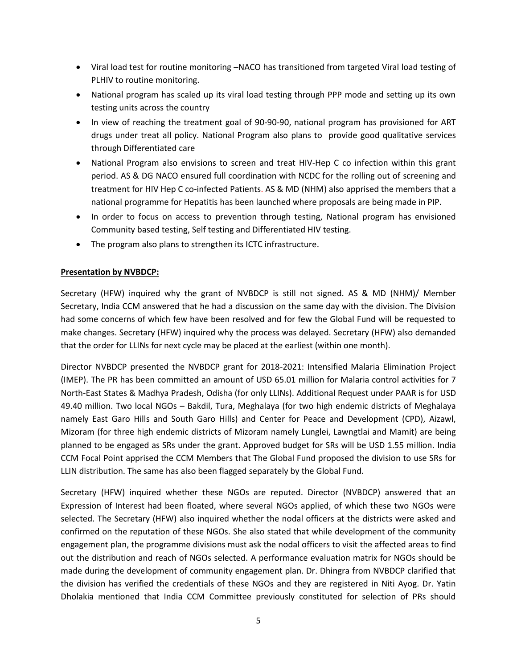- Viral load test for routine monitoring –NACO has transitioned from targeted Viral load testing of PLHIV to routine monitoring.
- National program has scaled up its viral load testing through PPP mode and setting up its own testing units across the country
- In view of reaching the treatment goal of 90-90-90, national program has provisioned for ART drugs under treat all policy. National Program also plans to provide good qualitative services through Differentiated care
- National Program also envisions to screen and treat HIV-Hep C co infection within this grant period. AS & DG NACO ensured full coordination with NCDC for the rolling out of screening and treatment for HIV Hep C co-infected Patients. AS & MD (NHM) also apprised the members that a national programme for Hepatitis has been launched where proposals are being made in PIP.
- In order to focus on access to prevention through testing, National program has envisioned Community based testing, Self testing and Differentiated HIV testing.
- The program also plans to strengthen its ICTC infrastructure.

## **Presentation by NVBDCP:**

Secretary (HFW) inquired why the grant of NVBDCP is still not signed. AS & MD (NHM)/ Member Secretary, India CCM answered that he had a discussion on the same day with the division. The Division had some concerns of which few have been resolved and for few the Global Fund will be requested to make changes. Secretary (HFW) inquired why the process was delayed. Secretary (HFW) also demanded that the order for LLINs for next cycle may be placed at the earliest (within one month).

Director NVBDCP presented the NVBDCP grant for 2018-2021: Intensified Malaria Elimination Project (IMEP). The PR has been committed an amount of USD 65.01 million for Malaria control activities for 7 North-East States & Madhya Pradesh, Odisha (for only LLINs). Additional Request under PAAR is for USD 49.40 million. Two local NGOs – Bakdil, Tura, Meghalaya (for two high endemic districts of Meghalaya namely East Garo Hills and South Garo Hills) and Center for Peace and Development (CPD), Aizawl, Mizoram (for three high endemic districts of Mizoram namely Lunglei, Lawngtlai and Mamit) are being planned to be engaged as SRs under the grant. Approved budget for SRs will be USD 1.55 million. India CCM Focal Point apprised the CCM Members that The Global Fund proposed the division to use SRs for LLIN distribution. The same has also been flagged separately by the Global Fund.

Secretary (HFW) inquired whether these NGOs are reputed. Director (NVBDCP) answered that an Expression of Interest had been floated, where several NGOs applied, of which these two NGOs were selected. The Secretary (HFW) also inquired whether the nodal officers at the districts were asked and confirmed on the reputation of these NGOs. She also stated that while development of the community engagement plan, the programme divisions must ask the nodal officers to visit the affected areas to find out the distribution and reach of NGOs selected. A performance evaluation matrix for NGOs should be made during the development of community engagement plan. Dr. Dhingra from NVBDCP clarified that the division has verified the credentials of these NGOs and they are registered in Niti Ayog. Dr. Yatin Dholakia mentioned that India CCM Committee previously constituted for selection of PRs should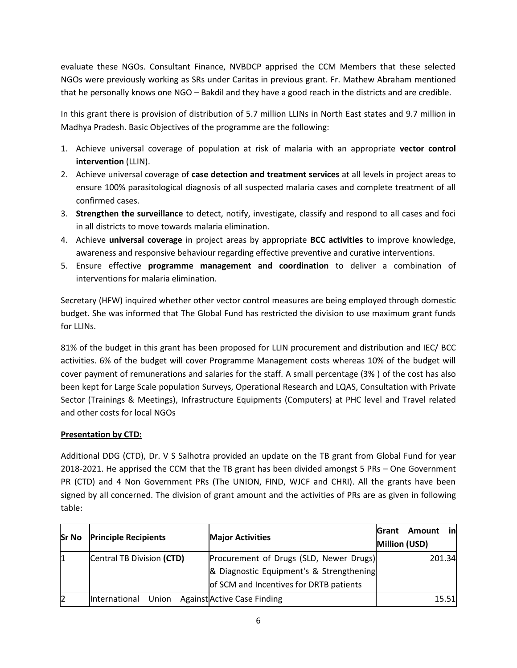evaluate these NGOs. Consultant Finance, NVBDCP apprised the CCM Members that these selected NGOs were previously working as SRs under Caritas in previous grant. Fr. Mathew Abraham mentioned that he personally knows one NGO – Bakdil and they have a good reach in the districts and are credible.

In this grant there is provision of distribution of 5.7 million LLINs in North East states and 9.7 million in Madhya Pradesh. Basic Objectives of the programme are the following:

- 1. Achieve universal coverage of population at risk of malaria with an appropriate **vector control intervention** (LLIN).
- 2. Achieve universal coverage of **case detection and treatment services** at all levels in project areas to ensure 100% parasitological diagnosis of all suspected malaria cases and complete treatment of all confirmed cases.
- 3. **Strengthen the surveillance** to detect, notify, investigate, classify and respond to all cases and foci in all districts to move towards malaria elimination.
- 4. Achieve **universal coverage** in project areas by appropriate **BCC activities** to improve knowledge, awareness and responsive behaviour regarding effective preventive and curative interventions.
- 5. Ensure effective **programme management and coordination** to deliver a combination of interventions for malaria elimination.

Secretary (HFW) inquired whether other vector control measures are being employed through domestic budget. She was informed that The Global Fund has restricted the division to use maximum grant funds for LLINs.

81% of the budget in this grant has been proposed for LLIN procurement and distribution and IEC/ BCC activities. 6% of the budget will cover Programme Management costs whereas 10% of the budget will cover payment of remunerations and salaries for the staff. A small percentage (3% ) of the cost has also been kept for Large Scale population Surveys, Operational Research and LQAS, Consultation with Private Sector (Trainings & Meetings), Infrastructure Equipments (Computers) at PHC level and Travel related and other costs for local NGOs

# **Presentation by CTD:**

Additional DDG (CTD), Dr. V S Salhotra provided an update on the TB grant from Global Fund for year 2018-2021. He apprised the CCM that the TB grant has been divided amongst 5 PRs – One Government PR (CTD) and 4 Non Government PRs (The UNION, FIND, WJCF and CHRI). All the grants have been signed by all concerned. The division of grant amount and the activities of PRs are as given in following table:

| <b>Sr No</b> | <b>Principle Recipients</b>   | <b>Major Activities</b>                                                                                                        | inl<br>Amount<br><b>S</b> rant<br>Million (USD) |
|--------------|-------------------------------|--------------------------------------------------------------------------------------------------------------------------------|-------------------------------------------------|
| 11           | Central TB Division (CTD)     | Procurement of Drugs (SLD, Newer Drugs)<br>& Diagnostic Equipment's & Strengthening<br>of SCM and Incentives for DRTB patients | 201.34                                          |
| I2           | Union<br><b>International</b> | <b>Against Active Case Finding</b>                                                                                             | 15.51                                           |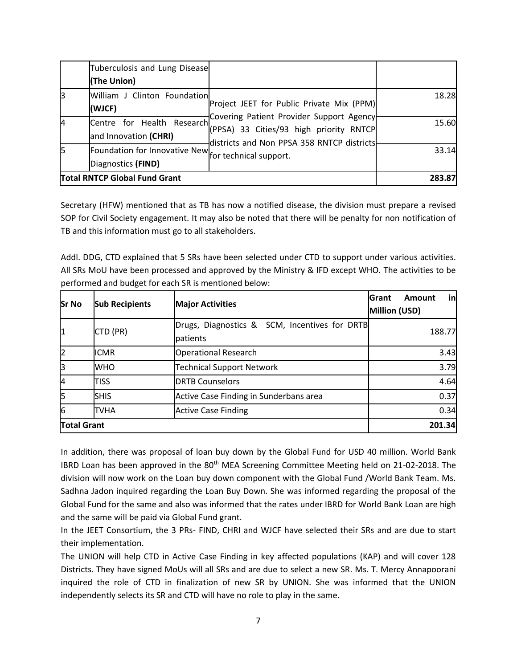|    | Tuberculosis and Lung Disease<br>(The Union)                               |                                                                                                                                   |        |
|----|----------------------------------------------------------------------------|-----------------------------------------------------------------------------------------------------------------------------------|--------|
|    | William J Clinton Foundation<br>(WJCF)                                     | Project JEET for Public Private Mix (PPM)                                                                                         | 18.28  |
| I4 | Centre for Health Research<br>and Innovation (CHRI)                        | Covering Patient Provider Support Agency<br>(PPSA) 33 Cities/93 high priority RNTCP<br>districts and Non PPSA 358 RNTCP districts | 15.60  |
| 15 | Foundation for Innovative New for technical support.<br>Diagnostics (FIND) |                                                                                                                                   | 33.14  |
|    | <b>Total RNTCP Global Fund Grant</b>                                       |                                                                                                                                   | 283.87 |

Secretary (HFW) mentioned that as TB has now a notified disease, the division must prepare a revised SOP for Civil Society engagement. It may also be noted that there will be penalty for non notification of TB and this information must go to all stakeholders.

Addl. DDG, CTD explained that 5 SRs have been selected under CTD to support under various activities. All SRs MoU have been processed and approved by the Ministry & IFD except WHO. The activities to be performed and budget for each SR is mentioned below:

| <b>Sr No</b>       | <b>Sub Recipients</b> | <b>Major Activities</b>                                          | in<br><b>Grant</b><br><b>Amount</b><br><b>Million (USD)</b> |
|--------------------|-----------------------|------------------------------------------------------------------|-------------------------------------------------------------|
| 11                 | CTD (PR)              | Drugs, Diagnostics & SCM, Incentives for DRTB<br><b>patients</b> | 188.77                                                      |
| I2                 | <b>ICMR</b>           | <b>Operational Research</b>                                      | 3.43                                                        |
| IЗ                 | <b>WHO</b>            | <b>Technical Support Network</b>                                 | 3.79                                                        |
| 4                  | TISS                  | <b>DRTB Counselors</b>                                           | 4.64                                                        |
| l5                 | <b>SHIS</b>           | Active Case Finding in Sunderbans area                           | 0.37                                                        |
| 6                  | <b>TVHA</b>           | <b>Active Case Finding</b>                                       | 0.34                                                        |
| <b>Total Grant</b> |                       |                                                                  | 201.34                                                      |

In addition, there was proposal of loan buy down by the Global Fund for USD 40 million. World Bank IBRD Loan has been approved in the 80<sup>th</sup> MEA Screening Committee Meeting held on 21-02-2018. The division will now work on the Loan buy down component with the Global Fund /World Bank Team. Ms. Sadhna Jadon inquired regarding the Loan Buy Down. She was informed regarding the proposal of the Global Fund for the same and also was informed that the rates under IBRD for World Bank Loan are high and the same will be paid via Global Fund grant.

In the JEET Consortium, the 3 PRs- FIND, CHRI and WJCF have selected their SRs and are due to start their implementation.

The UNION will help CTD in Active Case Finding in key affected populations (KAP) and will cover 128 Districts. They have signed MoUs will all SRs and are due to select a new SR. Ms. T. Mercy Annapoorani inquired the role of CTD in finalization of new SR by UNION. She was informed that the UNION independently selects its SR and CTD will have no role to play in the same.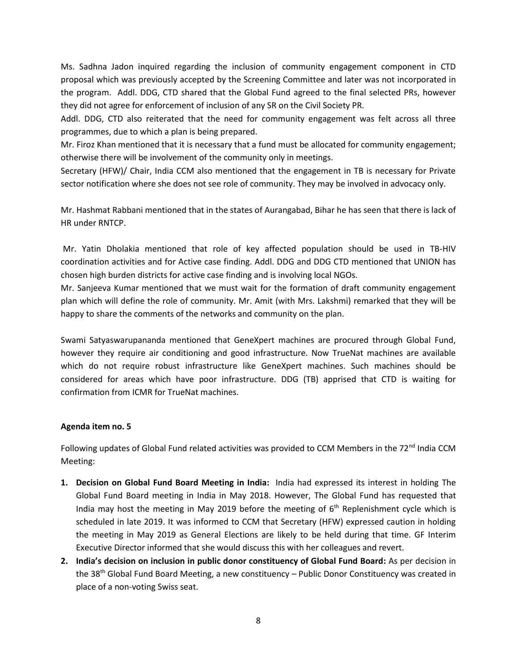Ms. Sadhna Jadon inquired regarding the inclusion of community engagement component in CTD proposal which was previously accepted by the Screening Committee and later was not incorporated in the program. Addl. DDG, CTD shared that the Global Fund agreed to the final selected PRs, however they did not agree for enforcement of inclusion of any SR on the Civil Society PR.

Addl. DDG, CTD also reiterated that the need for community engagement was felt across all three programmes, due to which a plan is being prepared.

Mr. Firoz Khan mentioned that it is necessary that a fund must be allocated for community engagement; otherwise there will be involvement of the community only in meetings.

Secretary (HFW)/ Chair, India CCM also mentioned that the engagement in TB is necessary for Private sector notification where she does not see role of community. They may be involved in advocacy only.

Mr. Hashmat Rabbani mentioned that in the states of Aurangabad, Bihar he has seen that there is lack of HR under RNTCP.

Mr. Yatin Dholakia mentioned that role of key affected population should be used in TB-HIV coordination activities and for Active case finding. Addl. DDG and DDG CTD mentioned that UNION has chosen high burden districts for active case finding and is involving local NGOs.

Mr. Sanjeeva Kumar mentioned that we must wait for the formation of draft community engagement plan which will define the role of community. Mr. Amit (with Mrs. Lakshmi) remarked that they will be happy to share the comments of the networks and community on the plan.

Swami Satyaswarupananda mentioned that GeneXpert machines are procured through Global Fund, however they require air conditioning and good infrastructure. Now TrueNat machines are available which do not require robust infrastructure like GeneXpert machines. Such machines should be considered for areas which have poor infrastructure. DDG (TB) apprised that CTD is waiting for confirmation from ICMR for TrueNat machines.

### **Agenda item no. 5**

Following updates of Global Fund related activities was provided to CCM Members in the 72<sup>nd</sup> India CCM Meeting:

- **1. Decision on Global Fund Board Meeting in India:** India had expressed its interest in holding The Global Fund Board meeting in India in May 2018. However, The Global Fund has requested that India may host the meeting in May 2019 before the meeting of  $6<sup>th</sup>$  Replenishment cycle which is scheduled in late 2019. It was informed to CCM that Secretary (HFW) expressed caution in holding the meeting in May 2019 as General Elections are likely to be held during that time. GF Interim Executive Director informed that she would discuss this with her colleagues and revert.
- **2. India's decision on inclusion in public donor constituency of Global Fund Board:** As per decision in the 38<sup>th</sup> Global Fund Board Meeting, a new constituency – Public Donor Constituency was created in place of a non-voting Swiss seat.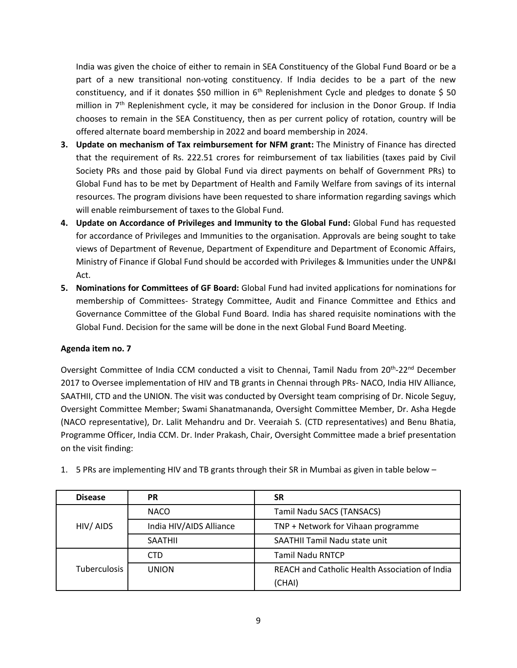India was given the choice of either to remain in SEA Constituency of the Global Fund Board or be a part of a new transitional non-voting constituency. If India decides to be a part of the new constituency, and if it donates \$50 million in  $6<sup>th</sup>$  Replenishment Cycle and pledges to donate \$50 million in 7<sup>th</sup> Replenishment cycle, it may be considered for inclusion in the Donor Group. If India chooses to remain in the SEA Constituency, then as per current policy of rotation, country will be offered alternate board membership in 2022 and board membership in 2024.

- **3. Update on mechanism of Tax reimbursement for NFM grant:** The Ministry of Finance has directed that the requirement of Rs. 222.51 crores for reimbursement of tax liabilities (taxes paid by Civil Society PRs and those paid by Global Fund via direct payments on behalf of Government PRs) to Global Fund has to be met by Department of Health and Family Welfare from savings of its internal resources. The program divisions have been requested to share information regarding savings which will enable reimbursement of taxes to the Global Fund.
- **4. Update on Accordance of Privileges and Immunity to the Global Fund:** Global Fund has requested for accordance of Privileges and Immunities to the organisation. Approvals are being sought to take views of Department of Revenue, Department of Expenditure and Department of Economic Affairs, Ministry of Finance if Global Fund should be accorded with Privileges & Immunities under the UNP&I Act.
- **5. Nominations for Committees of GF Board:** Global Fund had invited applications for nominations for membership of Committees- Strategy Committee, Audit and Finance Committee and Ethics and Governance Committee of the Global Fund Board. India has shared requisite nominations with the Global Fund. Decision for the same will be done in the next Global Fund Board Meeting.

### **Agenda item no. 7**

Oversight Committee of India CCM conducted a visit to Chennai, Tamil Nadu from 20<sup>th</sup>-22<sup>nd</sup> December 2017 to Oversee implementation of HIV and TB grants in Chennai through PRs- NACO, India HIV Alliance, SAATHII, CTD and the UNION. The visit was conducted by Oversight team comprising of Dr. Nicole Seguy, Oversight Committee Member; Swami Shanatmananda, Oversight Committee Member, Dr. Asha Hegde (NACO representative), Dr. Lalit Mehandru and Dr. Veeraiah S. (CTD representatives) and Benu Bhatia, Programme Officer, India CCM. Dr. Inder Prakash, Chair, Oversight Committee made a brief presentation on the visit finding:

| <b>Disease</b>      | PR                      | <b>SR</b>                                      |  |
|---------------------|-------------------------|------------------------------------------------|--|
|                     | <b>NACO</b>             | Tamil Nadu SACS (TANSACS)                      |  |
| HIV/ AIDS           | India HIV/AIDS Alliance | TNP + Network for Vihaan programme             |  |
|                     | <b>SAATHIL</b>          | SAATHII Tamil Nadu state unit                  |  |
|                     | CTD                     | <b>Tamil Nadu RNTCP</b>                        |  |
| <b>Tuberculosis</b> | <b>UNION</b>            | REACH and Catholic Health Association of India |  |
|                     |                         | (CHAI)                                         |  |

1. 5 PRs are implementing HIV and TB grants through their SR in Mumbai as given in table below –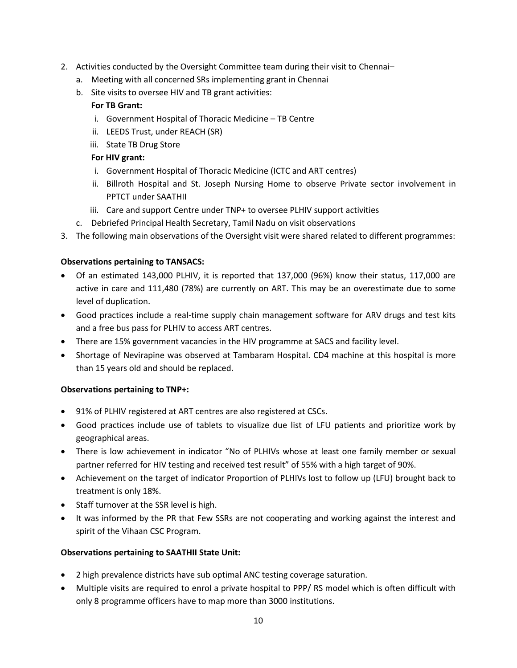- 2. Activities conducted by the Oversight Committee team during their visit to Chennai–
	- a. Meeting with all concerned SRs implementing grant in Chennai
	- b. Site visits to oversee HIV and TB grant activities:

## **For TB Grant:**

- i. Government Hospital of Thoracic Medicine TB Centre
- ii. LEEDS Trust, under REACH (SR)
- iii. State TB Drug Store

## **For HIV grant:**

- i. Government Hospital of Thoracic Medicine (ICTC and ART centres)
- ii. Billroth Hospital and St. Joseph Nursing Home to observe Private sector involvement in PPTCT under SAATHII
- iii. Care and support Centre under TNP+ to oversee PLHIV support activities
- c. Debriefed Principal Health Secretary, Tamil Nadu on visit observations
- 3. The following main observations of the Oversight visit were shared related to different programmes:

## **Observations pertaining to TANSACS:**

- Of an estimated 143,000 PLHIV, it is reported that 137,000 (96%) know their status, 117,000 are active in care and 111,480 (78%) are currently on ART. This may be an overestimate due to some level of duplication.
- Good practices include a real-time supply chain management software for ARV drugs and test kits and a free bus pass for PLHIV to access ART centres.
- There are 15% government vacancies in the HIV programme at SACS and facility level.
- Shortage of Nevirapine was observed at Tambaram Hospital. CD4 machine at this hospital is more than 15 years old and should be replaced.

### **Observations pertaining to TNP+:**

- 91% of PLHIV registered at ART centres are also registered at CSCs.
- Good practices include use of tablets to visualize due list of LFU patients and prioritize work by geographical areas.
- There is low achievement in indicator "No of PLHIVs whose at least one family member or sexual partner referred for HIV testing and received test result" of 55% with a high target of 90%.
- Achievement on the target of indicator Proportion of PLHIVs lost to follow up (LFU) brought back to treatment is only 18%.
- Staff turnover at the SSR level is high.
- It was informed by the PR that Few SSRs are not cooperating and working against the interest and spirit of the Vihaan CSC Program.

### **Observations pertaining to SAATHII State Unit:**

- 2 high prevalence districts have sub optimal ANC testing coverage saturation.
- Multiple visits are required to enrol a private hospital to PPP/ RS model which is often difficult with only 8 programme officers have to map more than 3000 institutions.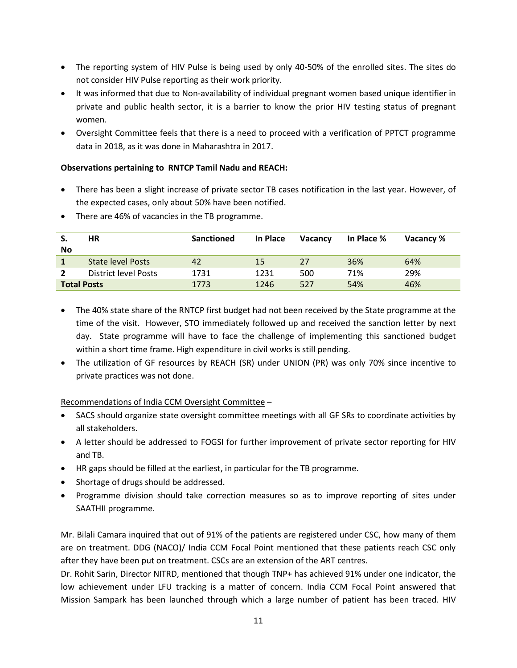- The reporting system of HIV Pulse is being used by only 40-50% of the enrolled sites. The sites do not consider HIV Pulse reporting as their work priority.
- It was informed that due to Non-availability of individual pregnant women based unique identifier in private and public health sector, it is a barrier to know the prior HIV testing status of pregnant women.
- Oversight Committee feels that there is a need to proceed with a verification of PPTCT programme data in 2018, as it was done in Maharashtra in 2017.

# **Observations pertaining to RNTCP Tamil Nadu and REACH:**

- There has been a slight increase of private sector TB cases notification in the last year. However, of the expected cases, only about 50% have been notified.
- There are 46% of vacancies in the TB programme.

| S.<br><b>No</b>    | ΗR                   | Sanctioned | In Place  | <b>Vacancy</b> | In Place % | Vacancy % |
|--------------------|----------------------|------------|-----------|----------------|------------|-----------|
|                    | State level Posts    | 42         | <b>15</b> | 27             | 36%        | 64%       |
|                    | District level Posts | 1731       | 1231      | 500            | 71%        | 29%       |
| <b>Total Posts</b> |                      | 1773       | 1246      | 527            | 54%        | 46%       |

- The 40% state share of the RNTCP first budget had not been received by the State programme at the time of the visit. However, STO immediately followed up and received the sanction letter by next day. State programme will have to face the challenge of implementing this sanctioned budget within a short time frame. High expenditure in civil works is still pending.
- The utilization of GF resources by REACH (SR) under UNION (PR) was only 70% since incentive to private practices was not done.

Recommendations of India CCM Oversight Committee –

- SACS should organize state oversight committee meetings with all GF SRs to coordinate activities by all stakeholders.
- A letter should be addressed to FOGSI for further improvement of private sector reporting for HIV and TB.
- HR gaps should be filled at the earliest, in particular for the TB programme.
- Shortage of drugs should be addressed.
- Programme division should take correction measures so as to improve reporting of sites under SAATHII programme.

Mr. Bilali Camara inquired that out of 91% of the patients are registered under CSC, how many of them are on treatment. DDG (NACO)/ India CCM Focal Point mentioned that these patients reach CSC only after they have been put on treatment. CSCs are an extension of the ART centres.

Dr. Rohit Sarin, Director NITRD, mentioned that though TNP+ has achieved 91% under one indicator, the low achievement under LFU tracking is a matter of concern. India CCM Focal Point answered that Mission Sampark has been launched through which a large number of patient has been traced. HIV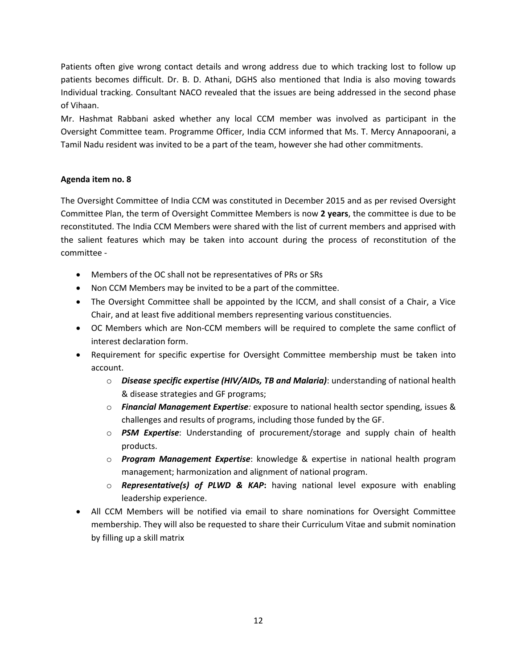Patients often give wrong contact details and wrong address due to which tracking lost to follow up patients becomes difficult. Dr. B. D. Athani, DGHS also mentioned that India is also moving towards Individual tracking. Consultant NACO revealed that the issues are being addressed in the second phase of Vihaan.

Mr. Hashmat Rabbani asked whether any local CCM member was involved as participant in the Oversight Committee team. Programme Officer, India CCM informed that Ms. T. Mercy Annapoorani, a Tamil Nadu resident was invited to be a part of the team, however she had other commitments.

## **Agenda item no. 8**

The Oversight Committee of India CCM was constituted in December 2015 and as per revised Oversight Committee Plan, the term of Oversight Committee Members is now **2 years**, the committee is due to be reconstituted. The India CCM Members were shared with the list of current members and apprised with the salient features which may be taken into account during the process of reconstitution of the committee -

- Members of the OC shall not be representatives of PRs or SRs
- Non CCM Members may be invited to be a part of the committee.
- The Oversight Committee shall be appointed by the ICCM, and shall consist of a Chair, a Vice Chair, and at least five additional members representing various constituencies.
- OC Members which are Non-CCM members will be required to complete the same conflict of interest declaration form.
- Requirement for specific expertise for Oversight Committee membership must be taken into account.
	- o *Disease specific expertise (HIV/AIDs, TB and Malaria)*: understanding of national health & disease strategies and GF programs;
	- o *Financial Management Expertise:* exposure to national health sector spending, issues & challenges and results of programs, including those funded by the GF.
	- o *PSM Expertise*: Understanding of procurement/storage and supply chain of health products.
	- o *Program Management Expertise*: knowledge & expertise in national health program management; harmonization and alignment of national program.
	- o *Representative(s) of PLWD & KAP***:** having national level exposure with enabling leadership experience.
- All CCM Members will be notified via email to share nominations for Oversight Committee membership. They will also be requested to share their Curriculum Vitae and submit nomination by filling up a skill matrix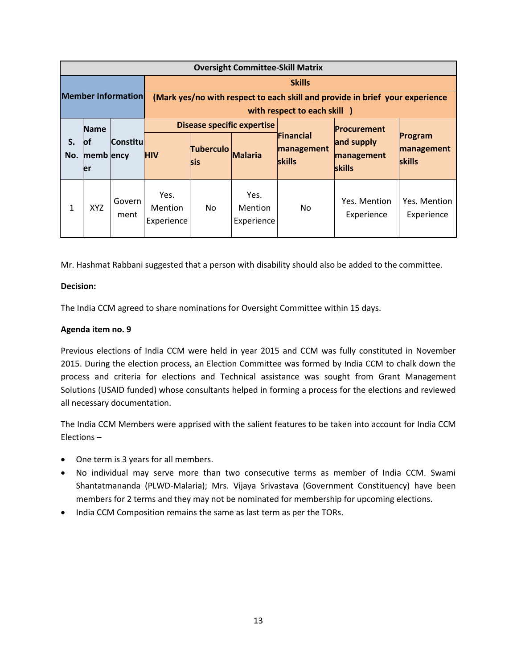|           | <b>Oversight Committee-Skill Matrix</b> |                           |                                      |                                |                                      |                                                  |                                                                              |                                        |
|-----------|-----------------------------------------|---------------------------|--------------------------------------|--------------------------------|--------------------------------------|--------------------------------------------------|------------------------------------------------------------------------------|----------------------------------------|
|           |                                         |                           |                                      | <b>Skills</b>                  |                                      |                                                  |                                                                              |                                        |
|           |                                         | <b>Member Information</b> |                                      |                                |                                      |                                                  | (Mark yes/no with respect to each skill and provide in brief your experience |                                        |
|           |                                         |                           |                                      |                                |                                      | with respect to each skill )                     |                                                                              |                                        |
|           | <b>Name</b>                             |                           |                                      |                                | <b>Disease specific expertise</b>    |                                                  | <b>Procurement</b>                                                           |                                        |
| S.<br>No. | <b>lof</b><br>memb ency                 | <b>Constitu</b>           | <b>HIV</b>                           | <b>Tuberculo</b><br><b>Sis</b> | <b>Malaria</b>                       | <b>TFinancial</b><br>management<br><b>skills</b> | and supply<br>management                                                     | Program<br>management<br><b>skills</b> |
|           | ler                                     |                           |                                      |                                |                                      |                                                  | skills                                                                       |                                        |
| 1         | <b>XYZ</b>                              | Govern<br>ment            | Yes.<br><b>Mention</b><br>Experience | No.                            | Yes.<br><b>Mention</b><br>Experience | No                                               | Yes. Mention<br>Experience                                                   | Yes. Mention<br>Experience             |

Mr. Hashmat Rabbani suggested that a person with disability should also be added to the committee.

## **Decision:**

The India CCM agreed to share nominations for Oversight Committee within 15 days.

## **Agenda item no. 9**

Previous elections of India CCM were held in year 2015 and CCM was fully constituted in November 2015. During the election process, an Election Committee was formed by India CCM to chalk down the process and criteria for elections and Technical assistance was sought from Grant Management Solutions (USAID funded) whose consultants helped in forming a process for the elections and reviewed all necessary documentation.

The India CCM Members were apprised with the salient features to be taken into account for India CCM Elections –

- One term is 3 years for all members.
- No individual may serve more than two consecutive terms as member of India CCM. Swami Shantatmananda (PLWD-Malaria); Mrs. Vijaya Srivastava (Government Constituency) have been members for 2 terms and they may not be nominated for membership for upcoming elections.
- India CCM Composition remains the same as last term as per the TORs.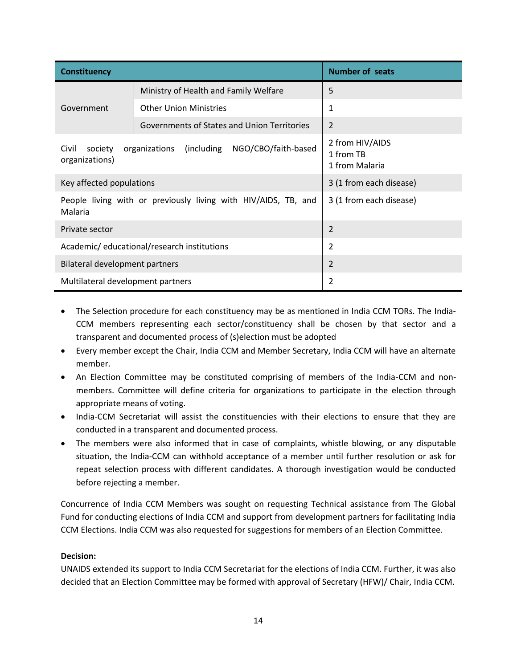| Constituency                               |                                                                | <b>Number of seats</b>                         |  |  |  |
|--------------------------------------------|----------------------------------------------------------------|------------------------------------------------|--|--|--|
|                                            | Ministry of Health and Family Welfare                          | 5                                              |  |  |  |
| Government                                 | <b>Other Union Ministries</b>                                  | $\mathbf{1}$                                   |  |  |  |
|                                            | Governments of States and Union Territories                    | 2                                              |  |  |  |
| Civil<br>society<br>organizations)         | NGO/CBO/faith-based<br>(including)<br>organizations            | 2 from HIV/AIDS<br>1 from TB<br>1 from Malaria |  |  |  |
| Key affected populations                   |                                                                | 3 (1 from each disease)                        |  |  |  |
| Malaria                                    | People living with or previously living with HIV/AIDS, TB, and | 3 (1 from each disease)                        |  |  |  |
| 2<br>Private sector                        |                                                                |                                                |  |  |  |
| Academic/educational/research institutions | $\overline{2}$                                                 |                                                |  |  |  |
| 2<br>Bilateral development partners        |                                                                |                                                |  |  |  |
| Multilateral development partners          |                                                                | 2                                              |  |  |  |

- The Selection procedure for each constituency may be as mentioned in India CCM TORs. The India-CCM members representing each sector/constituency shall be chosen by that sector and a transparent and documented process of (s)election must be adopted
- Every member except the Chair, India CCM and Member Secretary, India CCM will have an alternate member.
- An Election Committee may be constituted comprising of members of the India-CCM and nonmembers. Committee will define criteria for organizations to participate in the election through appropriate means of voting.
- India-CCM Secretariat will assist the constituencies with their elections to ensure that they are conducted in a transparent and documented process.
- The members were also informed that in case of complaints, whistle blowing, or any disputable situation, the India-CCM can withhold acceptance of a member until further resolution or ask for repeat selection process with different candidates. A thorough investigation would be conducted before rejecting a member.

Concurrence of India CCM Members was sought on requesting Technical assistance from The Global Fund for conducting elections of India CCM and support from development partners for facilitating India CCM Elections. India CCM was also requested for suggestions for members of an Election Committee.

# **Decision:**

UNAIDS extended its support to India CCM Secretariat for the elections of India CCM. Further, it was also decided that an Election Committee may be formed with approval of Secretary (HFW)/ Chair, India CCM.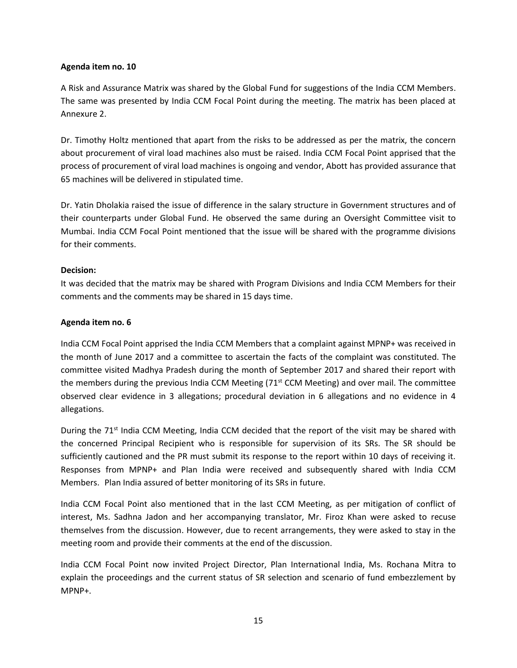#### **Agenda item no. 10**

A Risk and Assurance Matrix was shared by the Global Fund for suggestions of the India CCM Members. The same was presented by India CCM Focal Point during the meeting. The matrix has been placed at Annexure 2.

Dr. Timothy Holtz mentioned that apart from the risks to be addressed as per the matrix, the concern about procurement of viral load machines also must be raised. India CCM Focal Point apprised that the process of procurement of viral load machines is ongoing and vendor, Abott has provided assurance that 65 machines will be delivered in stipulated time.

Dr. Yatin Dholakia raised the issue of difference in the salary structure in Government structures and of their counterparts under Global Fund. He observed the same during an Oversight Committee visit to Mumbai. India CCM Focal Point mentioned that the issue will be shared with the programme divisions for their comments.

#### **Decision:**

It was decided that the matrix may be shared with Program Divisions and India CCM Members for their comments and the comments may be shared in 15 days time.

#### **Agenda item no. 6**

India CCM Focal Point apprised the India CCM Members that a complaint against MPNP+ was received in the month of June 2017 and a committee to ascertain the facts of the complaint was constituted. The committee visited Madhya Pradesh during the month of September 2017 and shared their report with the members during the previous India CCM Meeting  $(71<sup>st</sup>$  CCM Meeting) and over mail. The committee observed clear evidence in 3 allegations; procedural deviation in 6 allegations and no evidence in 4 allegations.

During the 71<sup>st</sup> India CCM Meeting, India CCM decided that the report of the visit may be shared with the concerned Principal Recipient who is responsible for supervision of its SRs. The SR should be sufficiently cautioned and the PR must submit its response to the report within 10 days of receiving it. Responses from MPNP+ and Plan India were received and subsequently shared with India CCM Members. Plan India assured of better monitoring of its SRs in future.

India CCM Focal Point also mentioned that in the last CCM Meeting, as per mitigation of conflict of interest, Ms. Sadhna Jadon and her accompanying translator, Mr. Firoz Khan were asked to recuse themselves from the discussion. However, due to recent arrangements, they were asked to stay in the meeting room and provide their comments at the end of the discussion.

India CCM Focal Point now invited Project Director, Plan International India, Ms. Rochana Mitra to explain the proceedings and the current status of SR selection and scenario of fund embezzlement by MPNP+.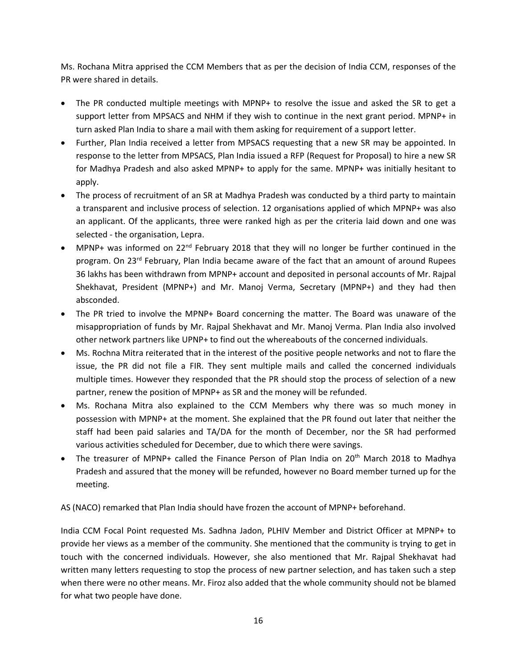Ms. Rochana Mitra apprised the CCM Members that as per the decision of India CCM, responses of the PR were shared in details.

- The PR conducted multiple meetings with MPNP+ to resolve the issue and asked the SR to get a support letter from MPSACS and NHM if they wish to continue in the next grant period. MPNP+ in turn asked Plan India to share a mail with them asking for requirement of a support letter.
- Further, Plan India received a letter from MPSACS requesting that a new SR may be appointed. In response to the letter from MPSACS, Plan India issued a RFP (Request for Proposal) to hire a new SR for Madhya Pradesh and also asked MPNP+ to apply for the same. MPNP+ was initially hesitant to apply.
- The process of recruitment of an SR at Madhya Pradesh was conducted by a third party to maintain a transparent and inclusive process of selection. 12 organisations applied of which MPNP+ was also an applicant. Of the applicants, three were ranked high as per the criteria laid down and one was selected - the organisation, Lepra.
- MPNP+ was informed on  $22^{nd}$  February 2018 that they will no longer be further continued in the program. On 23<sup>rd</sup> February, Plan India became aware of the fact that an amount of around Rupees 36 lakhs has been withdrawn from MPNP+ account and deposited in personal accounts of Mr. Rajpal Shekhavat, President (MPNP+) and Mr. Manoj Verma, Secretary (MPNP+) and they had then absconded.
- The PR tried to involve the MPNP+ Board concerning the matter. The Board was unaware of the misappropriation of funds by Mr. Rajpal Shekhavat and Mr. Manoj Verma. Plan India also involved other network partners like UPNP+ to find out the whereabouts of the concerned individuals.
- Ms. Rochna Mitra reiterated that in the interest of the positive people networks and not to flare the issue, the PR did not file a FIR. They sent multiple mails and called the concerned individuals multiple times. However they responded that the PR should stop the process of selection of a new partner, renew the position of MPNP+ as SR and the money will be refunded.
- Ms. Rochana Mitra also explained to the CCM Members why there was so much money in possession with MPNP+ at the moment. She explained that the PR found out later that neither the staff had been paid salaries and TA/DA for the month of December, nor the SR had performed various activities scheduled for December, due to which there were savings.
- The treasurer of MPNP+ called the Finance Person of Plan India on 20<sup>th</sup> March 2018 to Madhya Pradesh and assured that the money will be refunded, however no Board member turned up for the meeting.

AS (NACO) remarked that Plan India should have frozen the account of MPNP+ beforehand.

India CCM Focal Point requested Ms. Sadhna Jadon, PLHIV Member and District Officer at MPNP+ to provide her views as a member of the community. She mentioned that the community is trying to get in touch with the concerned individuals. However, she also mentioned that Mr. Rajpal Shekhavat had written many letters requesting to stop the process of new partner selection, and has taken such a step when there were no other means. Mr. Firoz also added that the whole community should not be blamed for what two people have done.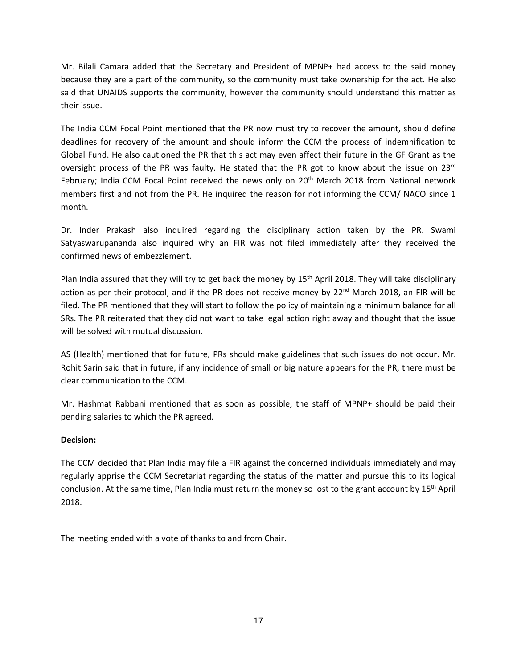Mr. Bilali Camara added that the Secretary and President of MPNP+ had access to the said money because they are a part of the community, so the community must take ownership for the act. He also said that UNAIDS supports the community, however the community should understand this matter as their issue.

The India CCM Focal Point mentioned that the PR now must try to recover the amount, should define deadlines for recovery of the amount and should inform the CCM the process of indemnification to Global Fund. He also cautioned the PR that this act may even affect their future in the GF Grant as the oversight process of the PR was faulty. He stated that the PR got to know about the issue on 23<sup>rd</sup> February; India CCM Focal Point received the news only on 20<sup>th</sup> March 2018 from National network members first and not from the PR. He inquired the reason for not informing the CCM/ NACO since 1 month.

Dr. Inder Prakash also inquired regarding the disciplinary action taken by the PR. Swami Satyaswarupananda also inquired why an FIR was not filed immediately after they received the confirmed news of embezzlement.

Plan India assured that they will try to get back the money by 15<sup>th</sup> April 2018. They will take disciplinary action as per their protocol, and if the PR does not receive money by 22<sup>nd</sup> March 2018, an FIR will be filed. The PR mentioned that they will start to follow the policy of maintaining a minimum balance for all SRs. The PR reiterated that they did not want to take legal action right away and thought that the issue will be solved with mutual discussion.

AS (Health) mentioned that for future, PRs should make guidelines that such issues do not occur. Mr. Rohit Sarin said that in future, if any incidence of small or big nature appears for the PR, there must be clear communication to the CCM.

Mr. Hashmat Rabbani mentioned that as soon as possible, the staff of MPNP+ should be paid their pending salaries to which the PR agreed.

# **Decision:**

The CCM decided that Plan India may file a FIR against the concerned individuals immediately and may regularly apprise the CCM Secretariat regarding the status of the matter and pursue this to its logical conclusion. At the same time, Plan India must return the money so lost to the grant account by 15<sup>th</sup> April 2018.

The meeting ended with a vote of thanks to and from Chair.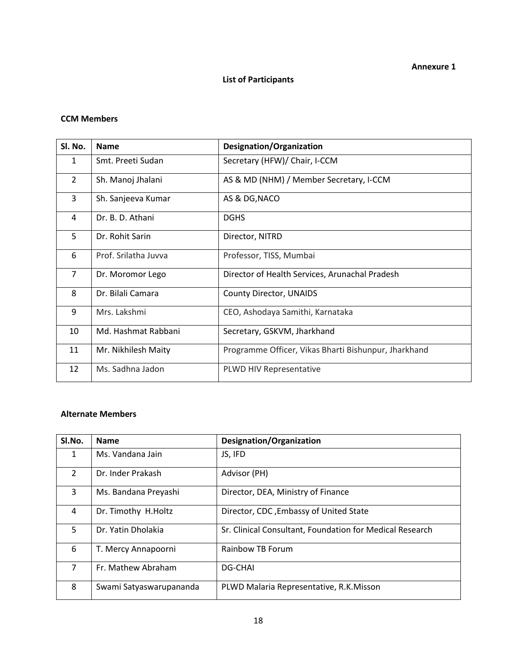# **List of Participants**

#### **CCM Members**

| Sl. No.        | <b>Name</b>          | <b>Designation/Organization</b>                      |
|----------------|----------------------|------------------------------------------------------|
| $\mathbf{1}$   | Smt. Preeti Sudan    | Secretary (HFW)/ Chair, I-CCM                        |
| $\overline{2}$ | Sh. Manoj Jhalani    | AS & MD (NHM) / Member Secretary, I-CCM              |
| 3              | Sh. Sanjeeva Kumar   | AS & DG, NACO                                        |
| 4              | Dr. B. D. Athani     | <b>DGHS</b>                                          |
| 5              | Dr. Rohit Sarin      | Director, NITRD                                      |
| 6              | Prof. Srilatha Juvva | Professor, TISS, Mumbai                              |
| $\overline{7}$ | Dr. Moromor Lego     | Director of Health Services, Arunachal Pradesh       |
| 8              | Dr. Bilali Camara    | <b>County Director, UNAIDS</b>                       |
| 9              | Mrs. Lakshmi         | CEO, Ashodaya Samithi, Karnataka                     |
| 10             | Md. Hashmat Rabbani  | Secretary, GSKVM, Jharkhand                          |
| 11             | Mr. Nikhilesh Maity  | Programme Officer, Vikas Bharti Bishunpur, Jharkhand |
| 12             | Ms. Sadhna Jadon     | PLWD HIV Representative                              |

# **Alternate Members**

| SI.No.        | <b>Name</b>             | <b>Designation/Organization</b>                          |
|---------------|-------------------------|----------------------------------------------------------|
| 1             | Ms. Vandana Jain        | JS, IFD                                                  |
| $\mathcal{P}$ | Dr. Inder Prakash       | Advisor (PH)                                             |
| 3             | Ms. Bandana Preyashi    | Director, DEA, Ministry of Finance                       |
| 4             | Dr. Timothy H.Holtz     | Director, CDC, Embassy of United State                   |
| 5             | Dr. Yatin Dholakia      | Sr. Clinical Consultant, Foundation for Medical Research |
| 6             | T. Mercy Annapoorni     | Rainbow TB Forum                                         |
| 7             | Fr. Mathew Abraham      | <b>DG-CHAI</b>                                           |
| 8             | Swami Satyaswarupananda | PLWD Malaria Representative, R.K.Misson                  |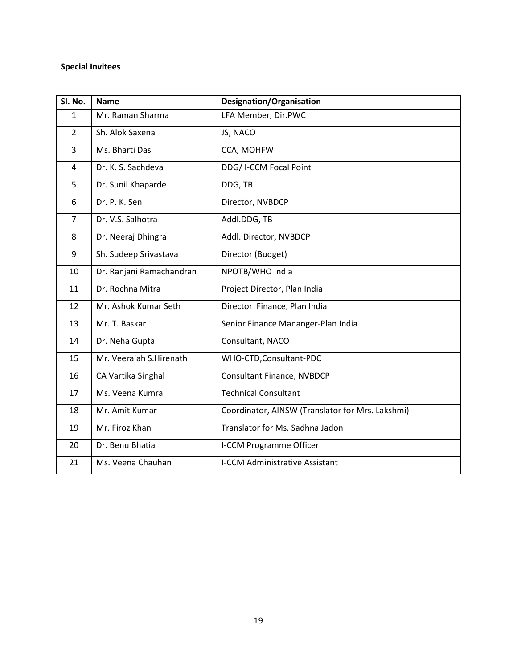# **Special Invitees**

| Sl. No.        | <b>Name</b>              | Designation/Organisation                         |  |  |  |
|----------------|--------------------------|--------------------------------------------------|--|--|--|
| 1              | Mr. Raman Sharma         | LFA Member, Dir.PWC                              |  |  |  |
| $\overline{2}$ | Sh. Alok Saxena          | JS, NACO                                         |  |  |  |
| 3              | Ms. Bharti Das           | CCA, MOHFW                                       |  |  |  |
| 4              | Dr. K. S. Sachdeva       | DDG/ I-CCM Focal Point                           |  |  |  |
| 5              | Dr. Sunil Khaparde       | DDG, TB                                          |  |  |  |
| 6              | Dr. P. K. Sen            | Director, NVBDCP                                 |  |  |  |
| $\overline{7}$ | Dr. V.S. Salhotra        | Addl.DDG, TB                                     |  |  |  |
| 8              | Dr. Neeraj Dhingra       | Addl. Director, NVBDCP                           |  |  |  |
| 9              | Sh. Sudeep Srivastava    | Director (Budget)                                |  |  |  |
| 10             | Dr. Ranjani Ramachandran | NPOTB/WHO India                                  |  |  |  |
| 11             | Dr. Rochna Mitra         | Project Director, Plan India                     |  |  |  |
| 12             | Mr. Ashok Kumar Seth     | Director Finance, Plan India                     |  |  |  |
| 13             | Mr. T. Baskar            | Senior Finance Mananger-Plan India               |  |  |  |
| 14             | Dr. Neha Gupta           | Consultant, NACO                                 |  |  |  |
| 15             | Mr. Veeraiah S.Hirenath  | WHO-CTD, Consultant-PDC                          |  |  |  |
| 16             | CA Vartika Singhal       | Consultant Finance, NVBDCP                       |  |  |  |
| 17             | Ms. Veena Kumra          | <b>Technical Consultant</b>                      |  |  |  |
| 18             | Mr. Amit Kumar           | Coordinator, AINSW (Translator for Mrs. Lakshmi) |  |  |  |
| 19             | Mr. Firoz Khan           | Translator for Ms. Sadhna Jadon                  |  |  |  |
| 20             | Dr. Benu Bhatia          | <b>I-CCM Programme Officer</b>                   |  |  |  |
| 21             | Ms. Veena Chauhan        | I-CCM Administrative Assistant                   |  |  |  |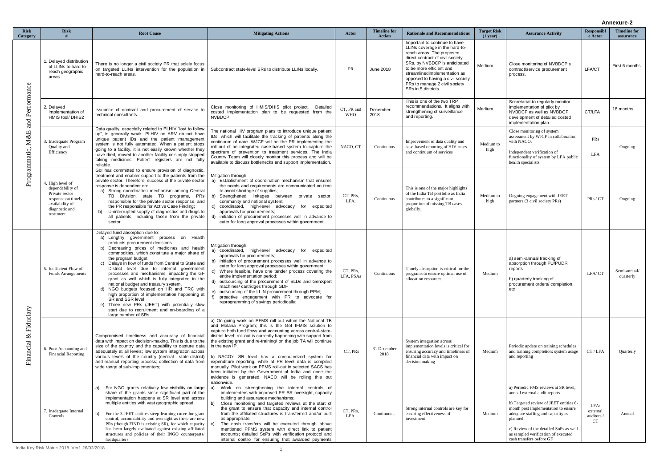|                                         |                                                                                                                                 |                                                                                                                                                                                                                                                                                                                                                                                                                                                                                                                                                                                                                                                                                                                                |                                                                                                                                                                                                                                                                                                                                                                                                                                                                                                                                                                                                                                                              |                          |                                      |                                                                                                                                                                                                                                                                                                                            | <b>Annexure-2</b>                |                                                                                                                                                                                                                                                                                                                     |                                      |                                  |
|-----------------------------------------|---------------------------------------------------------------------------------------------------------------------------------|--------------------------------------------------------------------------------------------------------------------------------------------------------------------------------------------------------------------------------------------------------------------------------------------------------------------------------------------------------------------------------------------------------------------------------------------------------------------------------------------------------------------------------------------------------------------------------------------------------------------------------------------------------------------------------------------------------------------------------|--------------------------------------------------------------------------------------------------------------------------------------------------------------------------------------------------------------------------------------------------------------------------------------------------------------------------------------------------------------------------------------------------------------------------------------------------------------------------------------------------------------------------------------------------------------------------------------------------------------------------------------------------------------|--------------------------|--------------------------------------|----------------------------------------------------------------------------------------------------------------------------------------------------------------------------------------------------------------------------------------------------------------------------------------------------------------------------|----------------------------------|---------------------------------------------------------------------------------------------------------------------------------------------------------------------------------------------------------------------------------------------------------------------------------------------------------------------|--------------------------------------|----------------------------------|
| <b>Risk</b><br>Category                 | <b>Risk</b>                                                                                                                     | <b>Root Cause</b>                                                                                                                                                                                                                                                                                                                                                                                                                                                                                                                                                                                                                                                                                                              | <b>Mitigating Actions</b>                                                                                                                                                                                                                                                                                                                                                                                                                                                                                                                                                                                                                                    | Actor                    | <b>Timeline for</b><br><b>Action</b> | <b>Rationale and Recommendations</b>                                                                                                                                                                                                                                                                                       | <b>Target Risk</b><br>$(1$ year) | <b>Assurance Activity</b>                                                                                                                                                                                                                                                                                           | <b>Responsibl</b><br>e Actor         | <b>Timeline for</b><br>assurance |
| and Performance<br>M&E<br>Programmatic, | 1. Delayed distribution<br>of LLINs to hard-to-<br>reach geographic<br>areas                                                    | There is no longer a civil society PR that solely focus<br>on targeted LLINs intervention for the population in<br>hard-to-reach areas.                                                                                                                                                                                                                                                                                                                                                                                                                                                                                                                                                                                        | Subcontract state-level SRs to distribute LLINs locally.                                                                                                                                                                                                                                                                                                                                                                                                                                                                                                                                                                                                     | PR                       | June 2018                            | Important to continue to have<br>LLINs coverage in the hard-to-<br>reach areas. The proposed<br>direct contract of civil society<br>SRs, by NVBDCP is anticipated<br>to be more efficient and<br>streamlinedimplementation as<br>opposed to having a civil society<br>PRs to manage 2 civil society<br>SRs in 5 districts. | Medium                           | Close monitoring of NVBDCP's<br>contract/service procurement<br>process.                                                                                                                                                                                                                                            | LFA/CT                               | First 6 months                   |
|                                         | 2. Delayed<br>implementation of<br>HMIS tool/ DHIS2                                                                             | Issuance of contract and procurement of service to<br>technical consultants.                                                                                                                                                                                                                                                                                                                                                                                                                                                                                                                                                                                                                                                   | Close monitoring of HMIS/DHIS pilot project.<br>Detailed<br>costed implementation plan to be requested from the<br>NVBDCP.                                                                                                                                                                                                                                                                                                                                                                                                                                                                                                                                   | CT, PR and<br><b>WHO</b> | December<br>2018                     | This is one of the two TRP<br>recommendations. It aligns with<br>strengthening of surveillance<br>and reporting.                                                                                                                                                                                                           | Medium                           | Secretariat to regularly monitor<br>implementation of pilot by<br>NVBDCP as well as NVBDCP<br>development of detailed costed<br>implementation plan.                                                                                                                                                                | CT/LFA                               | 18 months                        |
|                                         | 3. Inadequate Program<br>Quality and<br>Efficiency                                                                              | Data quality, especially related to PLHIV "lost to follow<br>up", is generally weak. PLHIV on ARV do not have<br>unique patient IDs and the patient management<br>system is not fully automated. When a patient stops<br>going to a facility, it is not easily known whether they<br>have died, moved to another facility or simply stopped<br>taking medicines. Patient registers are not fully<br>reliable.                                                                                                                                                                                                                                                                                                                  | The national HIV program plans to introduce unique patient<br>IDs, which will facilitate the tracking of patients along the<br>continuum of care. WJCF will be the PR implementing the<br>roll out of an integrated case-based system to capture the<br>spectrum of prevention to treatment services. The India<br>Country Team will closely monitor this process and will be<br>available to discuss bottlenecks and support implementation.                                                                                                                                                                                                                | NACO, CT                 | Continuous                           | Improvement of data quality and<br>case-based reporting of HIV cases<br>and continuum of services                                                                                                                                                                                                                          | Medium to<br>high                | Close monitoring of system<br>assessment by WJCF in collaboration<br>with NACO.<br>Independent verification of<br>functionality of system by LFA public<br>health specialists                                                                                                                                       | PRs<br><b>LFA</b>                    | Ongoing                          |
|                                         | 4. High level of<br>dependability of<br>Private sector<br>response on timely<br>availability of<br>diagnostic and<br>treatment. | Gol has committed to ensure provision of diagnostic,<br>treatment and enabler support to the patients from the<br>private sector. Therefore, success of the private sector<br>response is dependent on:<br>a) Strong coordination mechanism among Central<br>TB Division, state TB programs, PRs<br>responsible for the private sector response, and<br>the PR responsible for Active Case Finding;<br>Uninterrupted supply of diagnostics and drugs to<br>b)<br>all patients, including those from the private<br>sector.                                                                                                                                                                                                     | Mitigation through:<br>a) Establishment of coordination mechanism that ensures<br>the needs and requirements are communicated on time<br>to avoid shortage of supplies;<br>b) Strengthened linkages between<br>private sector,<br>community and national system;<br>coordinated, high-level advocacy for<br>expedited<br>C)<br>approvals for procurements;<br>initiation of procurement processes well in advance to<br>d)<br>cater for long approval processes within government.                                                                                                                                                                           | CT, PRs,<br>LFA,         | Continuous                           | This is one of the major highlights<br>of the India TB portfolio as India<br>contributes to a significant<br>proportion of missing TB cases<br>globally.                                                                                                                                                                   | Medium to<br>high                | Ongoing engagement with JEET<br>partners (3 civil society PRs)                                                                                                                                                                                                                                                      | PRs / CT                             | Ongoing                          |
| Fiduciary<br>$\infty$<br>Financial      | 5. Inefficient Flow of<br><b>Funds Arrangements</b>                                                                             | Delayed fund absorption due to:<br>a) Lengthy government process on Health<br>products procurement decisions<br>b) Decreasing prices of medicines and health<br>commodities, which constitute a major share of<br>the program budget;<br>c) Delays in flow of funds from Central to State and<br>District level due to internal government<br>processes and mechanisms, impacting the GF<br>grant as well which is fully integrated in the<br>national budget and treasury system.<br>d) NGO budgets focused on HR and TRC with<br>high proportion of implementation happening at<br>SR and SSR level<br>e) Three new PRs (JEET) with potentially slow<br>start due to recruitment and on-boarding of a<br>large number of SRs | Mitigation through:<br>a) coordinated, high-level advocacy for<br>expedited<br>approvals for procurements;<br>b) initiation of procurement processes well in advance to<br>cater for long approval processes within government;<br>c) Where feasible, have one tender process covering the<br>entire implementation period;<br>d) outsourcing of the procurement of SLDs and GenXpert<br>machines/ cartridges through GDF<br>outsourcing of the LLIN procurement through PPM;<br>proactive engagement with PR to advocate for<br>reprogramming of savings periodically;                                                                                      | CT, PRs,<br>LFA, PSAs    | Continuous                           | Timely absorption is critical for the<br>programs to ensure optimal use of<br>allocation resources                                                                                                                                                                                                                         | Medium                           | a) semi-annual tracking of<br>absorption through PU/PUDR<br>reports<br>b) quarterly tracking of<br>procurement orders/completion,<br>etc                                                                                                                                                                            | LFA/CT                               | Semi-annual/<br>quarterly        |
|                                         | 6. Poor Accounting and<br><b>Financial Reporting</b>                                                                            | Compromised timeliness and accuracy of financial<br>data with impact on decision-making. This is due to the<br>size of the country and the capability to capture data<br>adequately at all levels; low system integration across<br>various levels of the country (central -state-district)<br>and manual reporting process; collection of data from<br>wide range of sub-implementers;                                                                                                                                                                                                                                                                                                                                        | a) On-going work on PFMS roll-out within the National TB<br>and Malaria Program; this is the Gol IFMIS solution to<br>capture both fund flows and accounting across central-state-<br>district level; roll-out is currently happening with support from<br>the existing grant and re-training/ on the job TA will continue<br>in the new IP.<br>b) NACO's SR level has a computerized system for<br>expenditure reporting, while at PR level data is compiled<br>manually. Pilot work on PFMS roll-out in selected SACS has<br>been initiated by the Government of India and once the<br>evidence is generated, NACO will be rolling this out<br>nationwide. | CT, PRs                  | 31 December<br>2018                  | System integration across<br>implementation levels is critical for<br>ensuring accuracy and timeliness of<br>financial data with impact on<br>decision making                                                                                                                                                              | Medium                           | Periodic update on training schedules<br>and training completion; system usage<br>and reporting                                                                                                                                                                                                                     | CT/LFA                               | Quarterly                        |
|                                         | 7. Inadequate Internal<br>Controls                                                                                              | For NGO grants relatively low visibility on large<br>a)<br>share of the grants since significant part of the<br>implementation happens at SR level and across<br>multiple entities with vast geographic spread;<br>For the 3 JEET entities steep learning curve for grant<br>b)<br>control, accountability and oversight as these are new<br>PRs (though FIND is existing SR), for which capacity<br>has been largely evaluated against existing affiliated<br>structures and policies of their INGO counterparts/<br>headquarters.                                                                                                                                                                                            | Work on strengthening the internal controls of<br>implementers with improved PR-SR oversight, capacity<br>building and assurance mechanisms;<br>b)<br>Close monitoring and targeted reviews at the start of<br>the grant to ensure that capacity and internal control<br>from the affiliated structures is transferred and/or built<br>as appropriate.<br>The cash transfers will be executed through above<br>mentioned PFMS system with direct link to patient<br>accounts; detailed SoPs with verification protocol and<br>internal control for ensuring that awarded payments                                                                            | CT, PRs,<br>LFA          | Continuous                           | Strong internal controls are key for<br>ensuring effectiveness of<br>investment                                                                                                                                                                                                                                            | Medium                           | a) Periodic FMS reviews at SR level;<br>annual external audit reports<br>b) Targeted review of JEET entities 6-<br>month post implementation to ensure<br>adequate staffing and capacity as<br>planned<br>c) Review of the detailed SoPs as well<br>as sampled verification of executed<br>cash transfers before GF | LFA/<br>external<br>auditors /<br>CT | Annual                           |